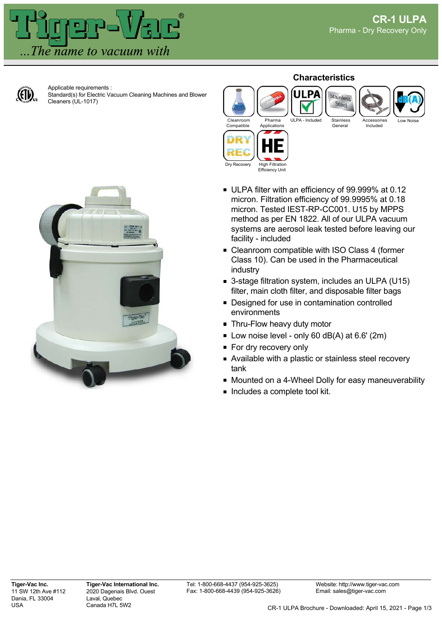Included



Applicable requirements : Standard(s) for Electric Vacuum Cleaning Machines and Blower Cleaners (UL-1017)

## **Characteristics**



Stainless Steel

General



- ULPA filter with an efficiency of 99.999% at 0.12 micron. Filtration efficiency of 99.9995% at 0.18 micron. Tested IEST-RP-CC001. U15 by MPPS method as per EN 1822. All of our ULPA vacuum systems are aerosol leak tested before leaving our facility - included
- Cleanroom compatible with ISO Class 4 (former Class 10). Can be used in the Pharmaceutical industry
- 3-stage filtration system, includes an ULPA (U15) filter, main cloth filter, and disposable filter bags
- **Designed for use in contamination controlled** environments
- **Thru-Flow heavy duty motor**
- $\blacksquare$  Low noise level only 60 dB(A) at 6.6' (2m)
- **For dry recovery only**
- Available with a plastic or stainless steel recovery tank
- Mounted on a 4-Wheel Dolly for easy maneuverability
- **Includes a complete tool kit.**

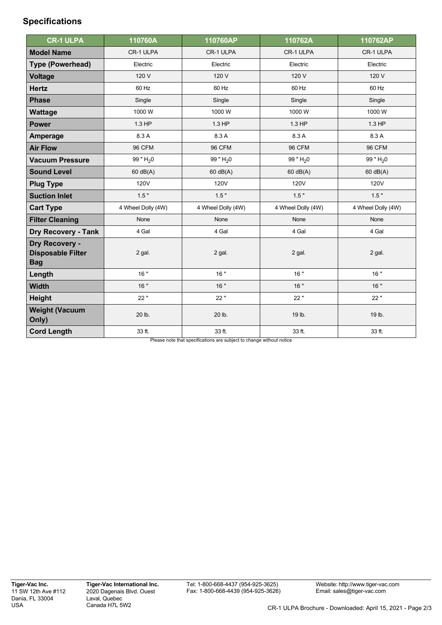## **Specifications**

| <b>CR-1 ULPA</b>                                         | 110760A            | 110760AP           | 110762A            | 110762AP           |
|----------------------------------------------------------|--------------------|--------------------|--------------------|--------------------|
| <b>Model Name</b>                                        | CR-1 ULPA          | CR-1 ULPA          | CR-1 ULPA          | CR-1 ULPA          |
| <b>Type (Powerhead)</b>                                  | Electric           | Electric           | Electric           | Electric           |
| <b>Voltage</b>                                           | 120 V              | 120 V              | 120 V              | 120 V              |
| <b>Hertz</b>                                             | 60 Hz              | 60 Hz              | 60 Hz              | 60 Hz              |
| <b>Phase</b>                                             | Single             | Single             | Single             | Single             |
| Wattage                                                  | 1000W              | 1000W              | 1000W              | 1000W              |
| <b>Power</b>                                             | 1.3 HP             | 1.3 HP             | $1.3$ HP           | 1.3 HP             |
| <b>Amperage</b>                                          | 8.3 A              | 8.3 A              | 8.3 A              | 8.3 A              |
| <b>Air Flow</b>                                          | <b>96 CFM</b>      | <b>96 CFM</b>      | <b>96 CFM</b>      | <b>96 CFM</b>      |
| <b>Vacuum Pressure</b>                                   | 99 " $H_2$ 0       | 99 " $H_2$ 0       | 99 " $H_2$ 0       | 99 " $H_2$ 0       |
| <b>Sound Level</b>                                       | $60$ dB(A)         | 60 dB(A)           | 60 dB(A)           | 60 dB(A)           |
| <b>Plug Type</b>                                         | 120V               | 120V               | 120V               | 120V               |
| <b>Suction Inlet</b>                                     | 1.5"               | 1.5"               | 1.5"               | 1.5"               |
| <b>Cart Type</b>                                         | 4 Wheel Dolly (4W) | 4 Wheel Dolly (4W) | 4 Wheel Dolly (4W) | 4 Wheel Dolly (4W) |
| <b>Filter Cleaning</b>                                   | None               | None               | None               | None               |
| <b>Dry Recovery - Tank</b>                               | 4 Gal              | 4 Gal              | 4 Gal              | 4 Gal              |
| Dry Recovery -<br><b>Disposable Filter</b><br><b>Bag</b> | 2 gal.             | 2 gal.             | 2 gal.             | 2 gal.             |
| Length                                                   | 16"                | 16"                | 16"                | 16"                |
| <b>Width</b>                                             | 16"                | 16"                | 16"                | 16"                |
| <b>Height</b>                                            | 22"                | 22"                | 22"                | 22"                |
| <b>Weight (Vacuum</b><br>Only)                           | 20 lb.             | 20 lb.             | 19 lb.             | 19 lb.             |
| <b>Cord Length</b>                                       | 33 ft.             | 33 ft.             | 33 ft.             | 33 ft.             |

Please note that specifications are subject to change without notice